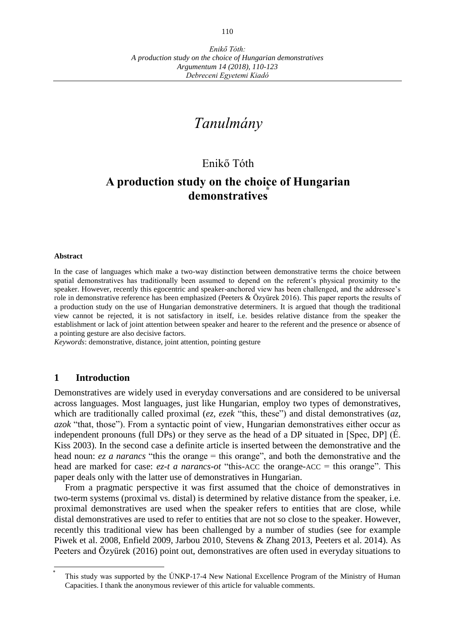# *Tanulmány*

## Enikő Tóth

## **A production study on the choice of Hungarian demonstratives⃰**

#### **Abstract**

In the case of languages which make a two-way distinction between demonstrative terms the choice between spatial demonstratives has traditionally been assumed to depend on the referent's physical proximity to the speaker. However, recently this egocentric and speaker-anchored view has been challenged, and the addressee's role in demonstrative reference has been emphasized (Peeters & Özyürek 2016). This paper reports the results of a production study on the use of Hungarian demonstrative determiners. It is argued that though the traditional view cannot be rejected, it is not satisfactory in itself, i.e. besides relative distance from the speaker the establishment or lack of joint attention between speaker and hearer to the referent and the presence or absence of a pointing gesture are also decisive factors.

*Keywords*: demonstrative, distance, joint attention, pointing gesture

#### **1 Introduction**

 $\overline{a}$ ⃰

Demonstratives are widely used in everyday conversations and are considered to be universal across languages. Most languages, just like Hungarian, employ two types of demonstratives, which are traditionally called proximal (*ez, ezek* "this, these") and distal demonstratives (*az*, *azok* "that, those"). From a syntactic point of view, Hungarian demonstratives either occur as independent pronouns (full DPs) or they serve as the head of a DP situated in [Spec, DP] (É. Kiss 2003). In the second case a definite article is inserted between the demonstrative and the head noun: *ez a narancs* "this the orange = this orange", and both the demonstrative and the head are marked for case: *ez-t a narancs-ot* "this-ACC the orange-ACC = this orange". This paper deals only with the latter use of demonstratives in Hungarian.

From a pragmatic perspective it was first assumed that the choice of demonstratives in two-term systems (proximal vs. distal) is determined by relative distance from the speaker, i.e. proximal demonstratives are used when the speaker refers to entities that are close, while distal demonstratives are used to refer to entities that are not so close to the speaker. However, recently this traditional view has been challenged by a number of studies (see for example Piwek et al. 2008, Enfield 2009, Jarbou 2010, Stevens & Zhang 2013, Peeters et al. 2014). As Peeters and Özyürek (2016) point out, demonstratives are often used in everyday situations to

This study was supported by the ÚNKP-17-4 New National Excellence Program of the Ministry of Human Capacities. I thank the anonymous reviewer of this article for valuable comments.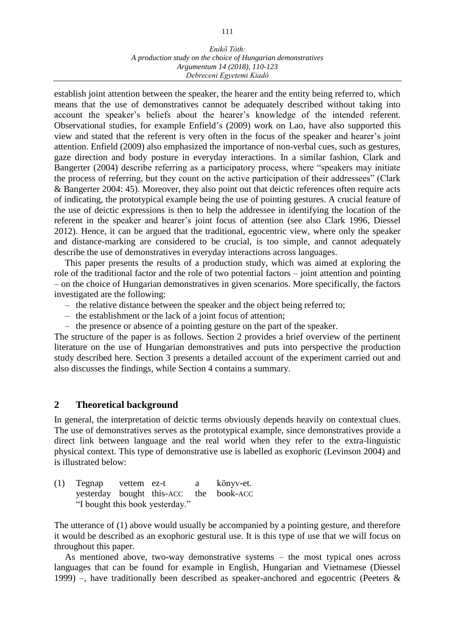#### *Enikő Tóth: A production study on the choice of Hungarian demonstratives Argumentum 14 (2018), 110-123 Debreceni Egyetemi Kiadó*

establish joint attention between the speaker, the hearer and the entity being referred to, which means that the use of demonstratives cannot be adequately described without taking into account the speaker's beliefs about the hearer's knowledge of the intended referent. Observational studies, for example Enfield's (2009) work on Lao, have also supported this view and stated that the referent is very often in the focus of the speaker and hearer's joint attention. Enfield (2009) also emphasized the importance of non-verbal cues, such as gestures, gaze direction and body posture in everyday interactions. In a similar fashion, Clark and Bangerter (2004) describe referring as a participatory process, where "speakers may initiate the process of referring, but they count on the active participation of their addressees" (Clark & Bangerter 2004: 45). Moreover, they also point out that deictic references often require acts of indicating, the prototypical example being the use of pointing gestures. A crucial feature of the use of deictic expressions is then to help the addressee in identifying the location of the referent in the speaker and hearer's joint focus of attention (see also Clark 1996, Diessel 2012). Hence, it can be argued that the traditional, egocentric view, where only the speaker and distance-marking are considered to be crucial, is too simple, and cannot adequately describe the use of demonstratives in everyday interactions across languages.

This paper presents the results of a production study, which was aimed at exploring the role of the traditional factor and the role of two potential factors – joint attention and pointing – on the choice of Hungarian demonstratives in given scenarios. More specifically, the factors investigated are the following:

- the relative distance between the speaker and the object being referred to;
- the establishment or the lack of a joint focus of attention;
- the presence or absence of a pointing gesture on the part of the speaker.

The structure of the paper is as follows. Section 2 provides a brief overview of the pertinent literature on the use of Hungarian demonstratives and puts into perspective the production study described here. Section 3 presents a detailed account of the experiment carried out and also discusses the findings, while Section 4 contains a summary.

#### **2 Theoretical background**

In general, the interpretation of deictic terms obviously depends heavily on contextual clues. The use of demonstratives serves as the prototypical example, since demonstratives provide a direct link between language and the real world when they refer to the extra-linguistic physical context. This type of demonstrative use is labelled as exophoric (Levinson 2004) and is illustrated below:

| $(1)$ Tegnap vettem ez-t        |  |  | a könyv-et.                            |
|---------------------------------|--|--|----------------------------------------|
|                                 |  |  | yesterday bought this-ACC the book-ACC |
| "I bought this book yesterday." |  |  |                                        |

The utterance of (1) above would usually be accompanied by a pointing gesture, and therefore it would be described as an exophoric gestural use. It is this type of use that we will focus on throughout this paper.

As mentioned above, two-way demonstrative systems – the most typical ones across languages that can be found for example in English, Hungarian and Vietnamese (Diessel 1999) –, have traditionally been described as speaker-anchored and egocentric (Peeters  $\&$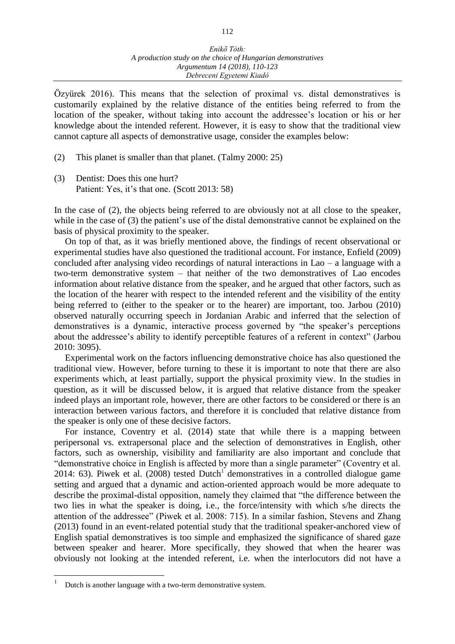Özyürek 2016). This means that the selection of proximal vs. distal demonstratives is customarily explained by the relative distance of the entities being referred to from the location of the speaker, without taking into account the addressee's location or his or her knowledge about the intended referent. However, it is easy to show that the traditional view cannot capture all aspects of demonstrative usage, consider the examples below:

- (2) This planet is smaller than that planet. (Talmy 2000: 25)
- (3) Dentist: Does this one hurt? Patient: Yes, it's that one. (Scott 2013: 58)

In the case of (2), the objects being referred to are obviously not at all close to the speaker, while in the case of (3) the patient's use of the distal demonstrative cannot be explained on the basis of physical proximity to the speaker.

On top of that, as it was briefly mentioned above, the findings of recent observational or experimental studies have also questioned the traditional account. For instance, Enfield (2009) concluded after analysing video recordings of natural interactions in Lao – a language with a two-term demonstrative system – that neither of the two demonstratives of Lao encodes information about relative distance from the speaker, and he argued that other factors, such as the location of the hearer with respect to the intended referent and the visibility of the entity being referred to (either to the speaker or to the hearer) are important, too. Jarbou (2010) observed naturally occurring speech in Jordanian Arabic and inferred that the selection of demonstratives is a dynamic, interactive process governed by "the speaker's perceptions about the addressee's ability to identify perceptible features of a referent in context" (Jarbou 2010: 3095).

Experimental work on the factors influencing demonstrative choice has also questioned the traditional view. However, before turning to these it is important to note that there are also experiments which, at least partially, support the physical proximity view. In the studies in question, as it will be discussed below, it is argued that relative distance from the speaker indeed plays an important role, however, there are other factors to be considered or there is an interaction between various factors, and therefore it is concluded that relative distance from the speaker is only one of these decisive factors.

For instance, Coventry et al. (2014) state that while there is a mapping between peripersonal vs. extrapersonal place and the selection of demonstratives in English, other factors, such as ownership, visibility and familiarity are also important and conclude that "demonstrative choice in English is affected by more than a single parameter" (Coventry et al. 2014: 63). Piwek et al. (2008) tested Dutch<sup>1</sup> demonstratives in a controlled dialogue game setting and argued that a dynamic and action-oriented approach would be more adequate to describe the proximal-distal opposition, namely they claimed that "the difference between the two lies in what the speaker is doing, i.e., the force/intensity with which s/he directs the attention of the addressee" (Piwek et al. 2008: 715). In a similar fashion, Stevens and Zhang (2013) found in an event-related potential study that the traditional speaker-anchored view of English spatial demonstratives is too simple and emphasized the significance of shared gaze between speaker and hearer. More specifically, they showed that when the hearer was obviously not looking at the intended referent, i.e. when the interlocutors did not have a

 $\overline{a}$ 

<sup>1</sup> Dutch is another language with a two-term demonstrative system.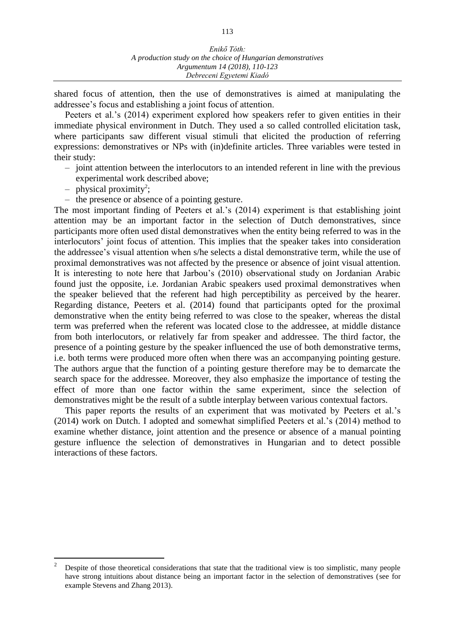shared focus of attention, then the use of demonstratives is aimed at manipulating the addressee's focus and establishing a joint focus of attention.

Peeters et al.'s (2014) experiment explored how speakers refer to given entities in their immediate physical environment in Dutch. They used a so called controlled elicitation task, where participants saw different visual stimuli that elicited the production of referring expressions: demonstratives or NPs with (in)definite articles. Three variables were tested in their study:

- joint attention between the interlocutors to an intended referent in line with the previous experimental work described above;
- $-$  physical proximity<sup>2</sup>;

 $\overline{a}$ 

– the presence or absence of a pointing gesture.

The most important finding of Peeters et al.'s (2014) experiment is that establishing joint attention may be an important factor in the selection of Dutch demonstratives, since participants more often used distal demonstratives when the entity being referred to was in the interlocutors' joint focus of attention. This implies that the speaker takes into consideration the addressee's visual attention when s/he selects a distal demonstrative term, while the use of proximal demonstratives was not affected by the presence or absence of joint visual attention. It is interesting to note here that Jarbou's (2010) observational study on Jordanian Arabic found just the opposite, i.e. Jordanian Arabic speakers used proximal demonstratives when the speaker believed that the referent had high perceptibility as perceived by the hearer. Regarding distance, Peeters et al. (2014) found that participants opted for the proximal demonstrative when the entity being referred to was close to the speaker, whereas the distal term was preferred when the referent was located close to the addressee, at middle distance from both interlocutors, or relatively far from speaker and addressee. The third factor, the presence of a pointing gesture by the speaker influenced the use of both demonstrative terms, i.e. both terms were produced more often when there was an accompanying pointing gesture. The authors argue that the function of a pointing gesture therefore may be to demarcate the search space for the addressee. Moreover, they also emphasize the importance of testing the effect of more than one factor within the same experiment, since the selection of demonstratives might be the result of a subtle interplay between various contextual factors.

This paper reports the results of an experiment that was motivated by Peeters et al.'s (2014) work on Dutch. I adopted and somewhat simplified Peeters et al.'s (2014) method to examine whether distance, joint attention and the presence or absence of a manual pointing gesture influence the selection of demonstratives in Hungarian and to detect possible interactions of these factors.

<sup>2</sup> Despite of those theoretical considerations that state that the traditional view is too simplistic, many people have strong intuitions about distance being an important factor in the selection of demonstratives (see for example Stevens and Zhang 2013).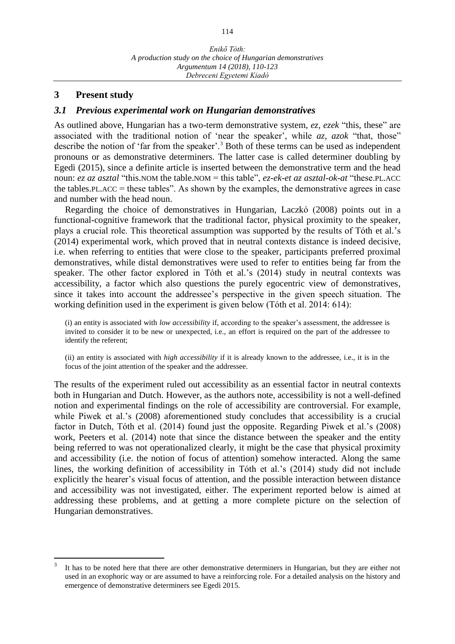### **3 Present study**

 $\overline{a}$ 

#### *3.1 Previous experimental work on Hungarian demonstratives*

As outlined above, Hungarian has a two-term demonstrative system, *ez, ezek* "this, these" are associated with the traditional notion of 'near the speaker', while *az, azok* "that, those" describe the notion of 'far from the speaker'.<sup>3</sup> Both of these terms can be used as independent pronouns or as demonstrative determiners. The latter case is called determiner doubling by Egedi (2015), since a definite article is inserted between the demonstrative term and the head noun: *ez az asztal* "this.NOM the table.NOM = this table", *ez-ek-et az asztal-ok-at* "these.PL.ACC the tables. PL.ACC = these tables". As shown by the examples, the demonstrative agrees in case and number with the head noun.

Regarding the choice of demonstratives in Hungarian, Laczkó (2008) points out in a functional-cognitive framework that the traditional factor, physical proximity to the speaker, plays a crucial role. This theoretical assumption was supported by the results of Tóth et al.'s (2014) experimental work, which proved that in neutral contexts distance is indeed decisive, i.e. when referring to entities that were close to the speaker, participants preferred proximal demonstratives, while distal demonstratives were used to refer to entities being far from the speaker. The other factor explored in Tóth et al.'s (2014) study in neutral contexts was accessibility, a factor which also questions the purely egocentric view of demonstratives, since it takes into account the addressee's perspective in the given speech situation. The working definition used in the experiment is given below (Tóth et al. 2014: 614):

(i) an entity is associated with *low accessibility* if, according to the speaker's assessment, the addressee is invited to consider it to be new or unexpected, i.e., an effort is required on the part of the addressee to identify the referent;

(ii) an entity is associated with *high accessibility* if it is already known to the addressee, i.e., it is in the focus of the joint attention of the speaker and the addressee.

The results of the experiment ruled out accessibility as an essential factor in neutral contexts both in Hungarian and Dutch. However, as the authors note, accessibility is not a well-defined notion and experimental findings on the role of accessibility are controversial. For example, while Piwek et al.'s (2008) aforementioned study concludes that accessibility is a crucial factor in Dutch, Tóth et al. (2014) found just the opposite. Regarding Piwek et al.'s (2008) work, Peeters et al. (2014) note that since the distance between the speaker and the entity being referred to was not operationalized clearly, it might be the case that physical proximity and accessibility (i.e. the notion of focus of attention) somehow interacted. Along the same lines, the working definition of accessibility in Tóth et al.'s (2014) study did not include explicitly the hearer's visual focus of attention, and the possible interaction between distance and accessibility was not investigated, either. The experiment reported below is aimed at addressing these problems, and at getting a more complete picture on the selection of Hungarian demonstratives.

<sup>3</sup> It has to be noted here that there are other demonstrative determiners in Hungarian, but they are either not used in an exophoric way or are assumed to have a reinforcing role. For a detailed analysis on the history and emergence of demonstrative determiners see Egedi 2015.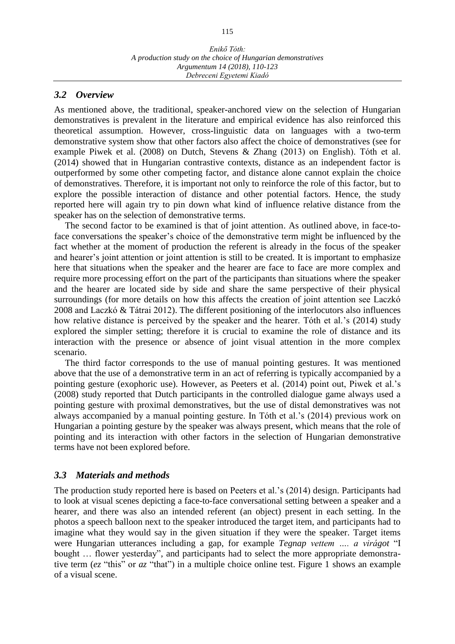### *3.2 Overview*

As mentioned above, the traditional, speaker-anchored view on the selection of Hungarian demonstratives is prevalent in the literature and empirical evidence has also reinforced this theoretical assumption. However, cross-linguistic data on languages with a two-term demonstrative system show that other factors also affect the choice of demonstratives (see for example Piwek et al. (2008) on Dutch, Stevens & Zhang (2013) on English). Tóth et al. (2014) showed that in Hungarian contrastive contexts, distance as an independent factor is outperformed by some other competing factor, and distance alone cannot explain the choice of demonstratives. Therefore, it is important not only to reinforce the role of this factor, but to explore the possible interaction of distance and other potential factors. Hence, the study reported here will again try to pin down what kind of influence relative distance from the speaker has on the selection of demonstrative terms.

The second factor to be examined is that of joint attention. As outlined above, in face-toface conversations the speaker's choice of the demonstrative term might be influenced by the fact whether at the moment of production the referent is already in the focus of the speaker and hearer's joint attention or joint attention is still to be created. It is important to emphasize here that situations when the speaker and the hearer are face to face are more complex and require more processing effort on the part of the participants than situations where the speaker and the hearer are located side by side and share the same perspective of their physical surroundings (for more details on how this affects the creation of joint attention see Laczkó 2008 and Laczkó & Tátrai 2012). The different positioning of the interlocutors also influences how relative distance is perceived by the speaker and the hearer. Tóth et al.'s (2014) study explored the simpler setting; therefore it is crucial to examine the role of distance and its interaction with the presence or absence of joint visual attention in the more complex scenario.

The third factor corresponds to the use of manual pointing gestures. It was mentioned above that the use of a demonstrative term in an act of referring is typically accompanied by a pointing gesture (exophoric use). However, as Peeters et al. (2014) point out, Piwek et al.'s (2008) study reported that Dutch participants in the controlled dialogue game always used a pointing gesture with proximal demonstratives, but the use of distal demonstratives was not always accompanied by a manual pointing gesture. In Tóth et al.'s (2014) previous work on Hungarian a pointing gesture by the speaker was always present, which means that the role of pointing and its interaction with other factors in the selection of Hungarian demonstrative terms have not been explored before.

## *3.3 Materials and methods*

The production study reported here is based on Peeters et al.'s (2014) design. Participants had to look at visual scenes depicting a face-to-face conversational setting between a speaker and a hearer, and there was also an intended referent (an object) present in each setting. In the photos a speech balloon next to the speaker introduced the target item, and participants had to imagine what they would say in the given situation if they were the speaker. Target items were Hungarian utterances including a gap, for example *Tegnap vettem …. a virágot* "I bought … flower yesterday", and participants had to select the more appropriate demonstrative term (*ez* "this" or *az* "that") in a multiple choice online test. Figure 1 shows an example of a visual scene.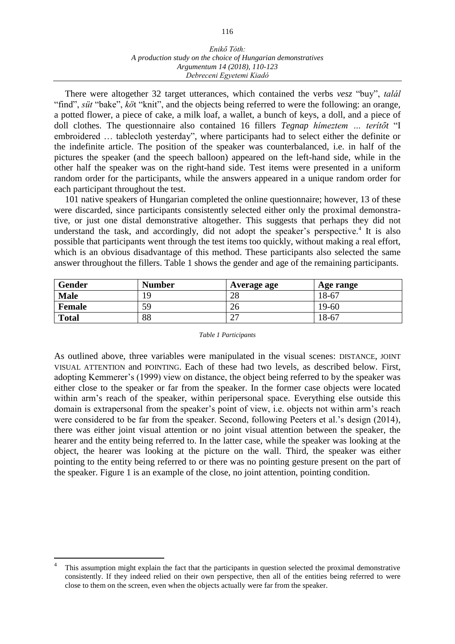#### *Enikő Tóth: A production study on the choice of Hungarian demonstratives Argumentum 14 (2018), 110-123 Debreceni Egyetemi Kiadó*

There were altogether 32 target utterances, which contained the verbs *vesz* "buy", *talál* "find", *süt* "bake", *kö*t "knit", and the objects being referred to were the following: an orange, a potted flower, a piece of cake, a milk loaf, a wallet, a bunch of keys, a doll, and a piece of doll clothes. The questionnaire also contained 16 fillers *Tegnap hímeztem … terítőt* "I embroidered … tablecloth yesterday", where participants had to select either the definite or the indefinite article. The position of the speaker was counterbalanced, i.e. in half of the pictures the speaker (and the speech balloon) appeared on the left-hand side, while in the other half the speaker was on the right-hand side. Test items were presented in a uniform random order for the participants, while the answers appeared in a unique random order for each participant throughout the test.

101 native speakers of Hungarian completed the online questionnaire; however, 13 of these were discarded, since participants consistently selected either only the proximal demonstrative, or just one distal demonstrative altogether. This suggests that perhaps they did not understand the task, and accordingly, did not adopt the speaker's perspective. $4$  It is also possible that participants went through the test items too quickly, without making a real effort, which is an obvious disadvantage of this method. These participants also selected the same answer throughout the fillers. Table 1 shows the gender and age of the remaining participants.

| <b>Gender</b> | <b>Number</b> | Average age | Age range |
|---------------|---------------|-------------|-----------|
| <b>Male</b>   | 9             | 28          | 18-67     |
| Female        | 59            | 26          | 19-60     |
| <b>Total</b>  | 88            | $\cap$<br>∠ | 18-67     |

#### *Table 1 Participants*

As outlined above, three variables were manipulated in the visual scenes: DISTANCE, JOINT VISUAL ATTENTION and POINTING. Each of these had two levels, as described below. First, adopting Kemmerer's (1999) view on distance, the object being referred to by the speaker was either close to the speaker or far from the speaker. In the former case objects were located within arm's reach of the speaker, within peripersonal space. Everything else outside this domain is extrapersonal from the speaker's point of view, i.e. objects not within arm's reach were considered to be far from the speaker. Second, following Peeters et al.'s design (2014), there was either joint visual attention or no joint visual attention between the speaker, the hearer and the entity being referred to. In the latter case, while the speaker was looking at the object, the hearer was looking at the picture on the wall. Third, the speaker was either pointing to the entity being referred to or there was no pointing gesture present on the part of the speaker. Figure 1 is an example of the close, no joint attention, pointing condition.

 $\overline{a}$ 

<sup>4</sup> This assumption might explain the fact that the participants in question selected the proximal demonstrative consistently. If they indeed relied on their own perspective, then all of the entities being referred to were close to them on the screen, even when the objects actually were far from the speaker.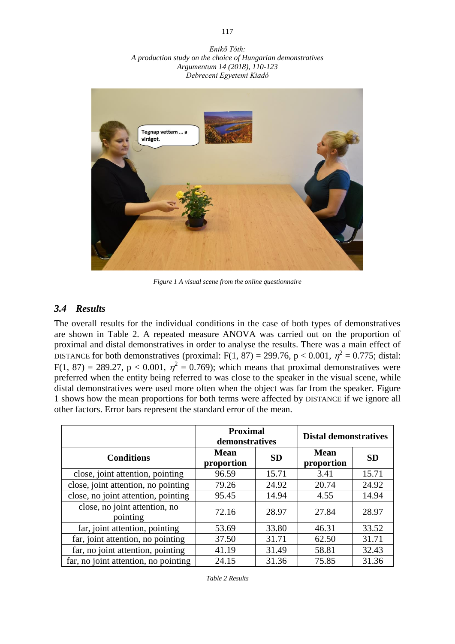*Enikő Tóth: A production study on the choice of Hungarian demonstratives Argumentum 14 (2018), 110-123 Debreceni Egyetemi Kiadó*



*Figure 1 A visual scene from the online questionnaire*

### *3.4 Results*

The overall results for the individual conditions in the case of both types of demonstratives are shown in Table 2. A repeated measure ANOVA was carried out on the proportion of proximal and distal demonstratives in order to analyse the results. There was a main effect of DISTANCE for both demonstratives (proximal: F(1, 87) = 299.76, p < 0.001,  $\eta^2$  = 0.775; distal:  $F(1, 87) = 289.27$ ,  $p < 0.001$ ,  $\eta^2 = 0.769$ ); which means that proximal demonstratives were preferred when the entity being referred to was close to the speaker in the visual scene, while distal demonstratives were used more often when the object was far from the speaker. Figure 1 shows how the mean proportions for both terms were affected by DISTANCE if we ignore all other factors. Error bars represent the standard error of the mean.

|                                           | <b>Proximal</b><br>demonstratives |           | <b>Distal demonstratives</b> |           |  |
|-------------------------------------------|-----------------------------------|-----------|------------------------------|-----------|--|
| <b>Conditions</b>                         | <b>Mean</b><br>proportion         | <b>SD</b> | <b>Mean</b><br>proportion    | <b>SD</b> |  |
| close, joint attention, pointing          | 96.59                             | 15.71     | 3.41                         | 15.71     |  |
| close, joint attention, no pointing       | 79.26                             | 24.92     | 20.74                        | 24.92     |  |
| close, no joint attention, pointing       | 95.45                             | 14.94     | 4.55                         | 14.94     |  |
| close, no joint attention, no<br>pointing | 72.16                             | 28.97     | 27.84                        | 28.97     |  |
| far, joint attention, pointing            | 53.69                             | 33.80     | 46.31                        | 33.52     |  |
| far, joint attention, no pointing         | 37.50                             | 31.71     | 62.50                        | 31.71     |  |
| far, no joint attention, pointing         | 41.19                             | 31.49     | 58.81                        | 32.43     |  |
| far, no joint attention, no pointing      | 24.15                             | 31.36     | 75.85                        | 31.36     |  |

*Table 2 Results*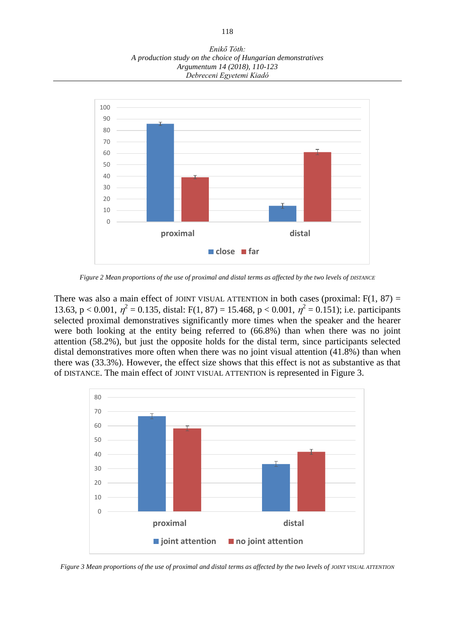*Enikő Tóth: A production study on the choice of Hungarian demonstratives Argumentum 14 (2018), 110-123 Debreceni Egyetemi Kiadó*



*Figure 2 Mean proportions of the use of proximal and distal terms as affected by the two levels of DISTANCE*

There was also a main effect of JOINT VISUAL ATTENTION in both cases (proximal:  $F(1, 87) =$ 13.63, p < 0.001,  $\eta^2 = 0.135$ , distal: F(1, 87) = 15.468, p < 0.001,  $\eta^2 = 0.151$ ); i.e. participants selected proximal demonstratives significantly more times when the speaker and the hearer were both looking at the entity being referred to (66.8%) than when there was no joint attention (58.2%), but just the opposite holds for the distal term, since participants selected distal demonstratives more often when there was no joint visual attention  $(41.8%)$  than when there was (33.3%). However, the effect size shows that this effect is not as substantive as that of DISTANCE. The main effect of JOINT VISUAL ATTENTION is represented in Figure 3.



*Figure 3 Mean proportions of the use of proximal and distal terms as affected by the two levels of JOINT VISUAL ATTENTION*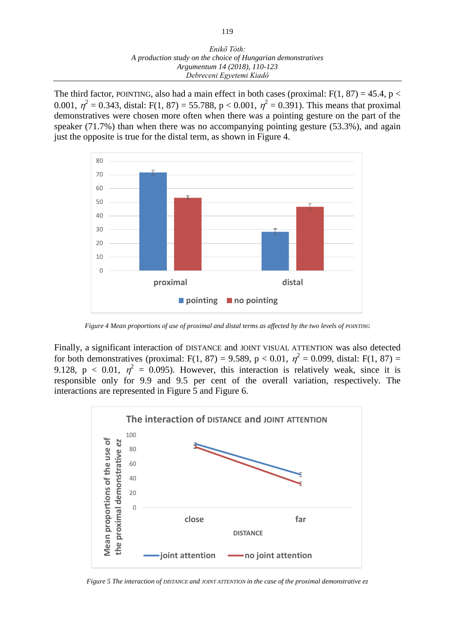The third factor, POINTING, also had a main effect in both cases (proximal:  $F(1, 87) = 45.4$ , p < 0.001,  $\eta^2 = 0.343$ , distal: F(1, 87) = 55.788, p < 0.001,  $\eta^2 = 0.391$ ). This means that proximal demonstratives were chosen more often when there was a pointing gesture on the part of the speaker (71.7%) than when there was no accompanying pointing gesture (53.3%), and again just the opposite is true for the distal term, as shown in Figure 4.



*Figure 4 Mean proportions of use of proximal and distal terms as affected by the two levels of POINTING*

Finally, a significant interaction of DISTANCE and JOINT VISUAL ATTENTION was also detected for both demonstratives (proximal: F(1, 87) = 9.589, p < 0.01,  $\eta^2 = 0.099$ , distal: F(1, 87) = 9.128,  $p < 0.01$ ,  $\eta^2 = 0.095$ ). However, this interaction is relatively weak, since it is responsible only for 9.9 and 9.5 per cent of the overall variation, respectively. The interactions are represented in Figure 5 and Figure 6.



*Figure 5 The interaction of DISTANCE and JOINT ATTENTION in the case of the proximal demonstrative ez*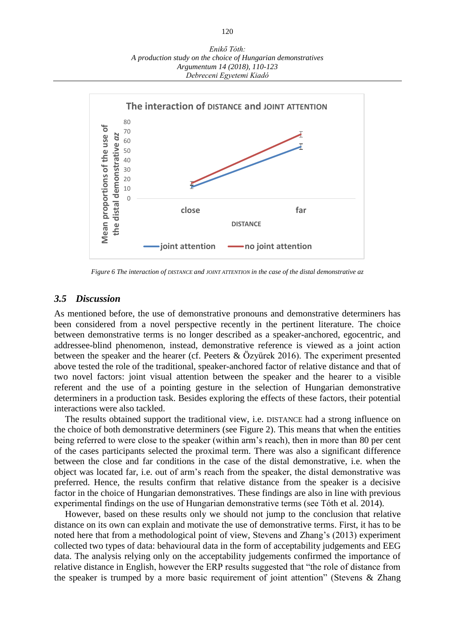

*Figure 6 The interaction of DISTANCE and JOINT ATTENTION in the case of the distal demonstrative az*

#### *3.5 Discussion*

As mentioned before, the use of demonstrative pronouns and demonstrative determiners has been considered from a novel perspective recently in the pertinent literature. The choice between demonstrative terms is no longer described as a speaker-anchored, egocentric, and addressee-blind phenomenon, instead, demonstrative reference is viewed as a joint action between the speaker and the hearer (cf. Peeters & Özyürek 2016). The experiment presented above tested the role of the traditional, speaker-anchored factor of relative distance and that of two novel factors: joint visual attention between the speaker and the hearer to a visible referent and the use of a pointing gesture in the selection of Hungarian demonstrative determiners in a production task. Besides exploring the effects of these factors, their potential interactions were also tackled.

The results obtained support the traditional view, i.e. DISTANCE had a strong influence on the choice of both demonstrative determiners (see Figure 2). This means that when the entities being referred to were close to the speaker (within arm's reach), then in more than 80 per cent of the cases participants selected the proximal term. There was also a significant difference between the close and far conditions in the case of the distal demonstrative, i.e. when the object was located far, i.e. out of arm's reach from the speaker, the distal demonstrative was preferred. Hence, the results confirm that relative distance from the speaker is a decisive factor in the choice of Hungarian demonstratives. These findings are also in line with previous experimental findings on the use of Hungarian demonstrative terms (see Tóth et al. 2014).

However, based on these results only we should not jump to the conclusion that relative distance on its own can explain and motivate the use of demonstrative terms. First, it has to be noted here that from a methodological point of view, Stevens and Zhang's (2013) experiment collected two types of data: behavioural data in the form of acceptability judgements and EEG data. The analysis relying only on the acceptability judgements confirmed the importance of relative distance in English, however the ERP results suggested that "the role of distance from the speaker is trumped by a more basic requirement of joint attention" (Stevens  $\&$  Zhang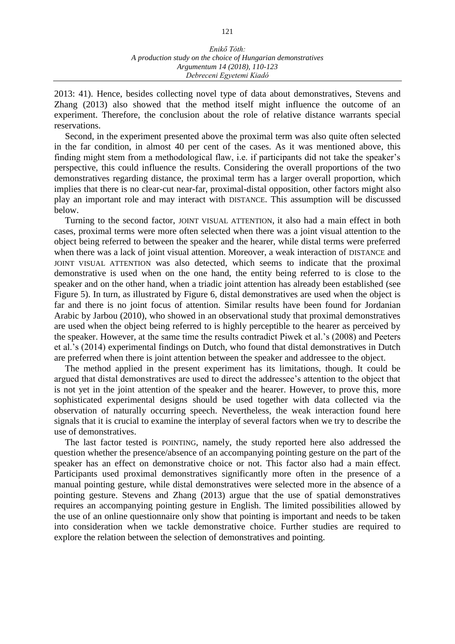2013: 41). Hence, besides collecting novel type of data about demonstratives, Stevens and Zhang (2013) also showed that the method itself might influence the outcome of an experiment. Therefore, the conclusion about the role of relative distance warrants special reservations.

Second, in the experiment presented above the proximal term was also quite often selected in the far condition, in almost 40 per cent of the cases. As it was mentioned above, this finding might stem from a methodological flaw, i.e. if participants did not take the speaker's perspective, this could influence the results. Considering the overall proportions of the two demonstratives regarding distance, the proximal term has a larger overall proportion, which implies that there is no clear-cut near-far, proximal-distal opposition, other factors might also play an important role and may interact with DISTANCE. This assumption will be discussed below.

Turning to the second factor, JOINT VISUAL ATTENTION, it also had a main effect in both cases, proximal terms were more often selected when there was a joint visual attention to the object being referred to between the speaker and the hearer, while distal terms were preferred when there was a lack of joint visual attention. Moreover, a weak interaction of DISTANCE and JOINT VISUAL ATTENTION was also detected, which seems to indicate that the proximal demonstrative is used when on the one hand, the entity being referred to is close to the speaker and on the other hand, when a triadic joint attention has already been established (see Figure 5). In turn, as illustrated by Figure 6, distal demonstratives are used when the object is far and there is no joint focus of attention. Similar results have been found for Jordanian Arabic by Jarbou (2010), who showed in an observational study that proximal demonstratives are used when the object being referred to is highly perceptible to the hearer as perceived by the speaker. However, at the same time the results contradict Piwek et al.'s (2008) and Peeters et al.'s (2014) experimental findings on Dutch, who found that distal demonstratives in Dutch are preferred when there is joint attention between the speaker and addressee to the object.

The method applied in the present experiment has its limitations, though. It could be argued that distal demonstratives are used to direct the addressee's attention to the object that is not yet in the joint attention of the speaker and the hearer. However, to prove this, more sophisticated experimental designs should be used together with data collected via the observation of naturally occurring speech. Nevertheless, the weak interaction found here signals that it is crucial to examine the interplay of several factors when we try to describe the use of demonstratives.

The last factor tested is POINTING, namely, the study reported here also addressed the question whether the presence/absence of an accompanying pointing gesture on the part of the speaker has an effect on demonstrative choice or not. This factor also had a main effect. Participants used proximal demonstratives significantly more often in the presence of a manual pointing gesture, while distal demonstratives were selected more in the absence of a pointing gesture. Stevens and Zhang (2013) argue that the use of spatial demonstratives requires an accompanying pointing gesture in English. The limited possibilities allowed by the use of an online questionnaire only show that pointing is important and needs to be taken into consideration when we tackle demonstrative choice. Further studies are required to explore the relation between the selection of demonstratives and pointing.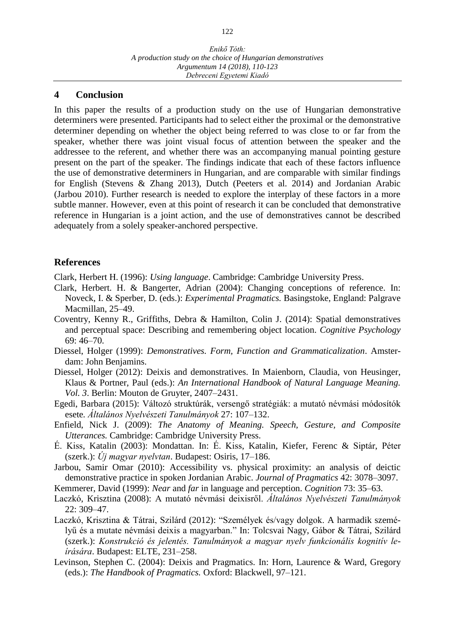#### **4 Conclusion**

In this paper the results of a production study on the use of Hungarian demonstrative determiners were presented. Participants had to select either the proximal or the demonstrative determiner depending on whether the object being referred to was close to or far from the speaker, whether there was joint visual focus of attention between the speaker and the addressee to the referent, and whether there was an accompanying manual pointing gesture present on the part of the speaker. The findings indicate that each of these factors influence the use of demonstrative determiners in Hungarian, and are comparable with similar findings for English (Stevens & Zhang 2013), Dutch (Peeters et al. 2014) and Jordanian Arabic (Jarbou 2010). Further research is needed to explore the interplay of these factors in a more subtle manner. However, even at this point of research it can be concluded that demonstrative reference in Hungarian is a joint action, and the use of demonstratives cannot be described adequately from a solely speaker-anchored perspective.

## **References**

Clark, Herbert H. (1996): *Using language*. Cambridge: Cambridge University Press.

- Clark, Herbert. H. & Bangerter, Adrian (2004): Changing conceptions of reference. In: Noveck, I. & Sperber, D. (eds.): *Experimental Pragmatics.* Basingstoke, England: Palgrave Macmillan, 25–49.
- Coventry, Kenny R., Griffiths, Debra & Hamilton, Colin J. (2014): Spatial demonstratives and perceptual space: Describing and remembering object location. *Cognitive Psychology* 69: 46–70.
- Diessel, Holger (1999): *Demonstratives. Form, Function and Grammaticalization*. Amsterdam: John Benjamins.
- Diessel, Holger (2012): Deixis and demonstratives. In Maienborn, Claudia, von Heusinger, Klaus & Portner, Paul (eds.): *An International Handbook of Natural Language Meaning. Vol. 3*. Berlin: Mouton de Gruyter, 2407–2431.
- Egedi, Barbara (2015): Változó struktúrák, versengő stratégiák: a mutató névmási módosítók esete*. Általános Nyelvészeti Tanulmányok* 27: 107–132.
- Enfield, Nick J. (2009): *The Anatomy of Meaning. Speech, Gesture, and Composite Utterances.* Cambridge: Cambridge University Press.
- É. Kiss, Katalin (2003): Mondattan. In: É. Kiss, Katalin, Kiefer, Ferenc & Siptár, Péter (szerk.): *Új magyar nyelvtan*. Budapest: Osiris, 17–186.
- Jarbou, Samir Omar (2010): Accessibility vs. physical proximity: an analysis of deictic demonstrative practice in spoken Jordanian Arabic. *Journal of Pragmatics* 42: 3078–3097.
- Kemmerer, David (1999): *Near* and *far* in language and perception. *Cognition* 73: 35–63.
- Laczkó, Krisztina (2008): A mutató névmási deixisről. *Általános Nyelvészeti Tanulmányok*  22: 309–47.
- Laczkó, Krisztina & Tátrai, Szilárd (2012): "Személyek és/vagy dolgok. A harmadik személyű és a mutate névmási deixis a magyarban." In: Tolcsvai Nagy, Gábor & Tátrai, Szilárd (szerk.): *Konstrukció és jelentés. Tanulmányok a magyar nyelv funkcionális kognitív leírására*. Budapest: ELTE, 231–258.
- Levinson, Stephen C. (2004): Deixis and Pragmatics. In: Horn, Laurence & Ward, Gregory (eds.): *The Handbook of Pragmatics.* Oxford: Blackwell, 97–121.